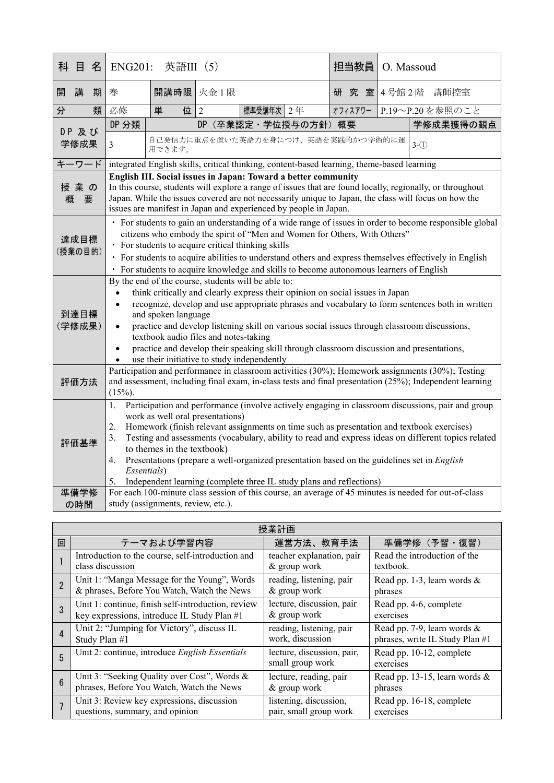| <b>ENG201:</b><br>英語III (5)                                                                                                                                                                                                                                                                                                                                                                                                                                                                                                                                                                        |                                                         |                |                                                                                                |           | O. Massoud                                                                                                       |                                                                                                                                                                                       |
|----------------------------------------------------------------------------------------------------------------------------------------------------------------------------------------------------------------------------------------------------------------------------------------------------------------------------------------------------------------------------------------------------------------------------------------------------------------------------------------------------------------------------------------------------------------------------------------------------|---------------------------------------------------------|----------------|------------------------------------------------------------------------------------------------|-----------|------------------------------------------------------------------------------------------------------------------|---------------------------------------------------------------------------------------------------------------------------------------------------------------------------------------|
| 春                                                                                                                                                                                                                                                                                                                                                                                                                                                                                                                                                                                                  |                                                         |                |                                                                                                |           | 4号館2階                                                                                                            | 講師控室                                                                                                                                                                                  |
| 必修                                                                                                                                                                                                                                                                                                                                                                                                                                                                                                                                                                                                 | 単<br>位                                                  | $\overline{2}$ |                                                                                                |           |                                                                                                                  | P.19~P.20を参照のこと                                                                                                                                                                       |
| DP 分類                                                                                                                                                                                                                                                                                                                                                                                                                                                                                                                                                                                              |                                                         |                |                                                                                                |           |                                                                                                                  | 学修成果獲得の観点                                                                                                                                                                             |
| $\overline{3}$                                                                                                                                                                                                                                                                                                                                                                                                                                                                                                                                                                                     | 自己発信力に重点を置いた英語力を身につけ、英語を実践的かつ学術的に運<br>$3-(1)$<br>用できます。 |                |                                                                                                |           |                                                                                                                  |                                                                                                                                                                                       |
|                                                                                                                                                                                                                                                                                                                                                                                                                                                                                                                                                                                                    |                                                         |                |                                                                                                |           |                                                                                                                  |                                                                                                                                                                                       |
| 授業の<br>In this course, students will explore a range of issues that are found locally, regionally, or throughout<br>Japan. While the issues covered are not necessarily unique to Japan, the class will focus on how the<br>概<br>要<br>issues are manifest in Japan and experienced by people in Japan.                                                                                                                                                                                                                                                                                             |                                                         |                |                                                                                                |           |                                                                                                                  |                                                                                                                                                                                       |
| · For students to gain an understanding of a wide range of issues in order to become responsible global<br>citizens who embody the spirit of "Men and Women for Others, With Others"<br>達成目標<br>• For students to acquire critical thinking skills<br>(授業の目的)<br>· For students to acquire abilities to understand others and express themselves effectively in English                                                                                                                                                                                                                            |                                                         |                |                                                                                                |           |                                                                                                                  |                                                                                                                                                                                       |
| By the end of the course, students will be able to:<br>think critically and clearly express their opinion on social issues in Japan<br>recognize, develop and use appropriate phrases and vocabulary to form sentences both in written<br>$\bullet$<br>and spoken language<br>practice and develop listening skill on various social issues through classroom discussions,<br>$\bullet$<br>textbook audio files and notes-taking<br>practice and develop their speaking skill through classroom discussion and presentations,<br>$\bullet$                                                         |                                                         |                |                                                                                                |           |                                                                                                                  |                                                                                                                                                                                       |
| Participation and performance in classroom activities (30%); Homework assignments (30%); Testing<br>and assessment, including final exam, in-class tests and final presentation (25%); Independent learning<br>評価方法<br>$(15%)$ .                                                                                                                                                                                                                                                                                                                                                                   |                                                         |                |                                                                                                |           |                                                                                                                  |                                                                                                                                                                                       |
| Participation and performance (involve actively engaging in classroom discussions, pair and group<br>1.<br>work as well oral presentations)<br>2.<br>Homework (finish relevant assignments on time such as presentation and textbook exercises)<br>Testing and assessments (vocabulary, ability to read and express ideas on different topics related<br>3.<br>to themes in the textbook)<br>Presentations (prepare a well-organized presentation based on the guidelines set in <i>English</i><br>4.<br>Essentials)<br>Independent learning (complete three IL study plans and reflections)<br>5. |                                                         |                |                                                                                                |           |                                                                                                                  |                                                                                                                                                                                       |
| For each 100-minute class session of this course, an average of 45 minutes is needed for out-of-class                                                                                                                                                                                                                                                                                                                                                                                                                                                                                              |                                                         |                |                                                                                                |           |                                                                                                                  |                                                                                                                                                                                       |
|                                                                                                                                                                                                                                                                                                                                                                                                                                                                                                                                                                                                    |                                                         |                | 開講時限 火金1限<br>use their initiative to study independently<br>study (assignments, review, etc.). | 標準受講年次 2年 | 担当教員<br>研究室<br>オフィスアワー<br>DP (卒業認定·学位授与の方針) 概要<br>English III. Social issues in Japan: Toward a better community | integrated English skills, critical thinking, content-based learning, theme-based learning<br>· For students to acquire knowledge and skills to become autonomous learners of English |

| 授業計画             |                                                    |                                                |                                       |  |  |
|------------------|----------------------------------------------------|------------------------------------------------|---------------------------------------|--|--|
| 回                | テーマおよび学習内容                                         | 運営方法、教育手法                                      | 準備学修 (予習·復習)                          |  |  |
|                  | Introduction to the course, self-introduction and  | teacher explanation, pair                      | Read the introduction of the          |  |  |
|                  | class discussion                                   | & group work                                   | textbook.                             |  |  |
|                  | Unit 1: "Manga Message for the Young", Words       | reading, listening, pair                       | Read pp. 1-3, learn words $\&$        |  |  |
|                  | & phrases, Before You Watch, Watch the News        | & group work                                   | phrases                               |  |  |
| 3                | Unit 1: continue, finish self-introduction, review | lecture, discussion, pair                      | Read pp. 4-6, complete                |  |  |
|                  | key expressions, introduce IL Study Plan #1        | & group work                                   | exercises                             |  |  |
| $\overline{4}$   | Unit 2: "Jumping for Victory", discuss IL          | reading, listening, pair                       | Read pp. 7-9, learn words &           |  |  |
|                  | Study Plan #1                                      | work, discussion                               | phrases, write IL Study Plan #1       |  |  |
| 5                | Unit 2: continue, introduce English Essentials     | lecture, discussion, pair,<br>small group work | Read pp. 10-12, complete<br>exercises |  |  |
| $6 \overline{6}$ | Unit 3: "Seeking Quality over Cost", Words &       | lecture, reading, pair                         | Read pp. 13-15, learn words &         |  |  |
|                  | phrases, Before You Watch, Watch the News          | & group work                                   | phrases                               |  |  |
|                  | Unit 3: Review key expressions, discussion         | listening, discussion,                         | Read pp. 16-18, complete              |  |  |
|                  | questions, summary, and opinion                    | pair, small group work                         | exercises                             |  |  |